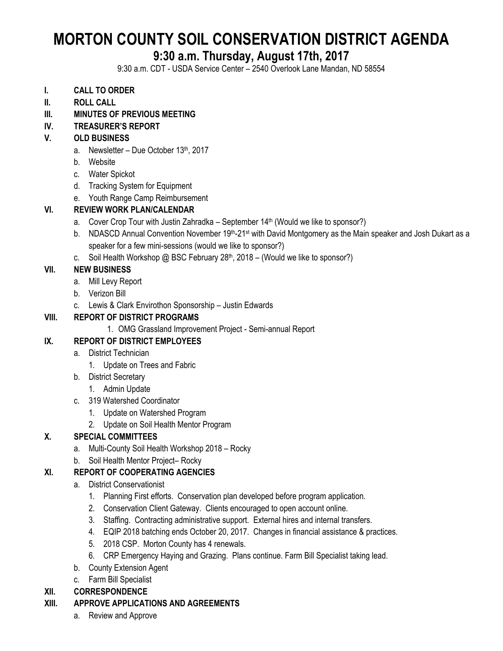# **MORTON COUNTY SOIL CONSERVATION DISTRICT AGENDA**

## **9:30 a.m. Thursday, August 17th, 2017**

9:30 a.m. CDT - USDA Service Center – 2540 Overlook Lane Mandan, ND 58554

- **I. CALL TO ORDER**
- **II. ROLL CALL**
- **III. MINUTES OF PREVIOUS MEETING**

## **IV. TREASURER'S REPORT**

### **V. OLD BUSINESS**

- a. Newsletter Due October  $13<sup>th</sup>$ , 2017
- b. Website
- c. Water Spickot
- d. Tracking System for Equipment
- e. Youth Range Camp Reimbursement

## **VI. REVIEW WORK PLAN/CALENDAR**

- a. Cover Crop Tour with Justin Zahradka September 14<sup>th</sup> (Would we like to sponsor?)
- b. NDASCD Annual Convention November 19<sup>th</sup>-21<sup>st</sup> with David Montgomery as the Main speaker and Josh Dukart as a speaker for a few mini-sessions (would we like to sponsor?)
- c. Soil Health Workshop @ BSC February  $28<sup>th</sup>$ , 2018 (Would we like to sponsor?)

### **VII. NEW BUSINESS**

- a. Mill Levy Report
- b. Verizon Bill
- c. Lewis & Clark Envirothon Sponsorship Justin Edwards

## **VIII. REPORT OF DISTRICT PROGRAMS**

1. OMG Grassland Improvement Project - Semi-annual Report

## **IX. REPORT OF DISTRICT EMPLOYEES**

- a. District Technician
	- 1. Update on Trees and Fabric
- b. District Secretary
	- 1. Admin Update
- c. 319 Watershed Coordinator
	- 1. Update on Watershed Program
	- 2. Update on Soil Health Mentor Program

## **X. SPECIAL COMMITTEES**

- a. Multi-County Soil Health Workshop 2018 Rocky
- b. Soil Health Mentor Project– Rocky

## **XI. REPORT OF COOPERATING AGENCIES**

- a. District Conservationist
	- 1. Planning First efforts. Conservation plan developed before program application.
	- 2. Conservation Client Gateway. Clients encouraged to open account online.
	- 3. Staffing. Contracting administrative support. External hires and internal transfers.
	- 4. EQIP 2018 batching ends October 20, 2017. Changes in financial assistance & practices.
	- 5. 2018 CSP. Morton County has 4 renewals.
	- 6. CRP Emergency Haying and Grazing. Plans continue. Farm Bill Specialist taking lead.
- b. County Extension Agent
- c. Farm Bill Specialist

#### **XII. CORRESPONDENCE**

## **XIII. APPROVE APPLICATIONS AND AGREEMENTS**

a. Review and Approve